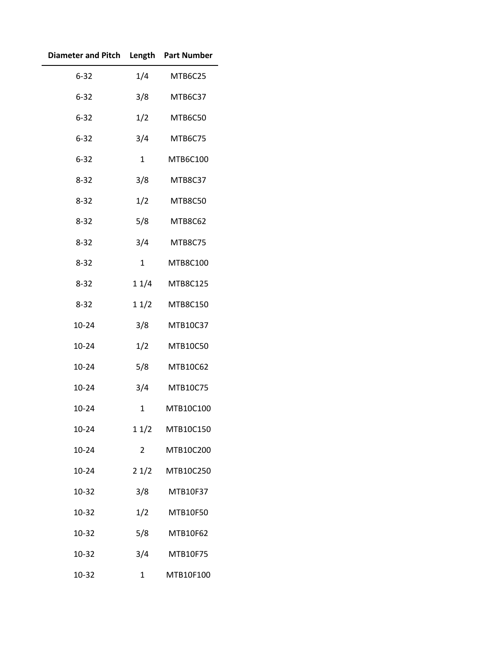| Diameter and Pitch Length Part Number |              |                |
|---------------------------------------|--------------|----------------|
| $6 - 32$                              |              | 1/4 MTB6C25    |
| $6 - 32$                              | 3/8          | MTB6C37        |
| $6 - 32$                              | 1/2          | MTB6C50        |
| $6 - 32$                              | 3/4          | MTB6C75        |
| $6 - 32$                              | $\mathbf{1}$ | MTB6C100       |
| $8 - 32$                              | 3/8          | MTB8C37        |
| $8 - 32$                              | 1/2          | MTB8C50        |
| $8 - 32$                              | 5/8          | MTB8C62        |
| $8 - 32$                              | 3/4          | MTB8C75        |
| $8 - 32$                              | 1            | MTB8C100       |
| $8 - 32$                              |              | 1 1/4 MTB8C125 |
| $8 - 32$                              | 11/2         | MTB8C150       |
| $10 - 24$                             | 3/8          | MTB10C37       |
| $10 - 24$                             | 1/2          | MTB10C50       |
| $10 - 24$                             | 5/8          | MTB10C62       |
| $10 - 24$                             | 3/4          | MTB10C75       |
| 10-24                                 | $\mathbf{1}$ | MTB10C100      |
| $10 - 24$                             | 11/2         | MTB10C150      |
| $10 - 24$                             | 2            | MTB10C200      |
| $10 - 24$                             | 21/2         | MTB10C250      |
| 10-32                                 | 3/8          | MTB10F37       |
| 10-32                                 | 1/2          | MTB10F50       |
| 10-32                                 | 5/8          | MTB10F62       |
| 10-32                                 | 3/4          | MTB10F75       |
| 10-32                                 | 1            | MTB10F100      |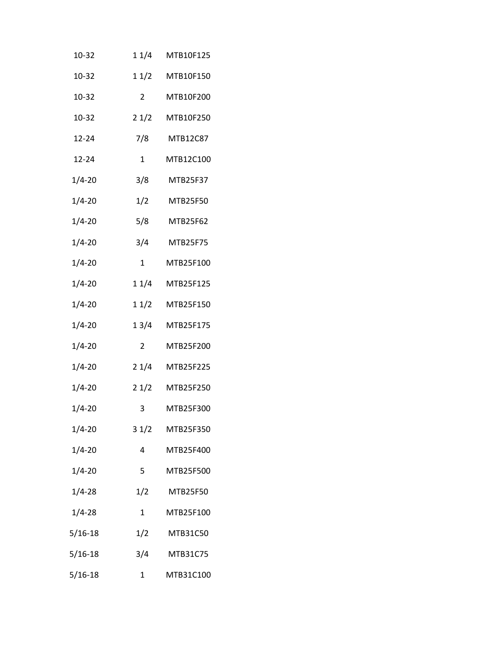| 10-32       | 11/4            | MTB10F125 |
|-------------|-----------------|-----------|
| 10-32       | 11/2            | MTB10F150 |
| 10-32       | $\mathbf{2}$    | MTB10F200 |
| 10-32       | 21/2            | MTB10F250 |
| 12-24       | 7/8             | MTB12C87  |
| $12 - 24$   | $\mathbf{1}$    | MTB12C100 |
| $1/4 - 20$  | 3/8             | MTB25F37  |
| $1/4 - 20$  | 1/2             | MTB25F50  |
| $1/4 - 20$  | 5/8             | MTB25F62  |
| $1/4 - 20$  | 3/4             | MTB25F75  |
| $1/4 - 20$  | $\mathbf{1}$    | MTB25F100 |
| $1/4 - 20$  | 11/4            | MTB25F125 |
| $1/4 - 20$  | 11/2            | MTB25F150 |
| $1/4 - 20$  | 1 3/4           | MTB25F175 |
| $1/4 - 20$  | 2               | MTB25F200 |
| $1/4 - 20$  | 21/4            | MTB25F225 |
| $1/4 - 20$  | 21/2            | MTB25F250 |
| $1/4 - 20$  | 3               | MTB25F300 |
| $1/4 - 20$  | 31/2            | MTB25F350 |
| $1/4 - 20$  | 4               | MTB25F400 |
| $1/4 - 20$  | 5               | MTB25F500 |
| $1/4 - 28$  | 1/2             | MTB25F50  |
| $1/4 - 28$  | $\mathbf{1}$    | MTB25F100 |
| 5/16-18     | 1/2             | MTB31C50  |
| 5/16-18     | 3/4<br>MTB31C75 |           |
| $5/16 - 18$ | 1               | MTB31C100 |